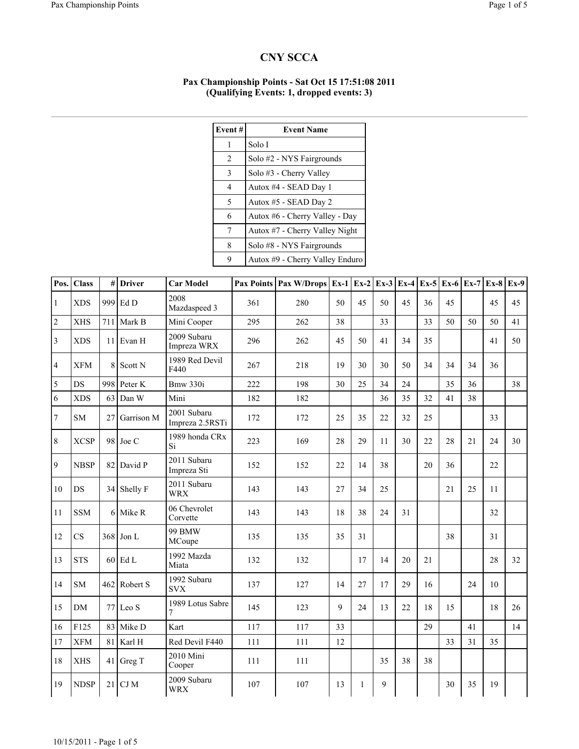## CNY SCCA

## Pax Championship Points - Sat Oct 15 17:51:08 2011 (Qualifying Events: 1, dropped events: 3)

| Event#         | <b>Event Name</b>               |
|----------------|---------------------------------|
| 1              | Solo I                          |
| 2              | Solo #2 - NYS Fairgrounds       |
| 3              | Solo #3 - Cherry Valley         |
| $\overline{4}$ | Autox #4 - SEAD Day 1           |
| 5              | Autox #5 - SEAD Day 2           |
| 6              | Autox #6 - Cherry Valley - Day  |
| 7              | Autox #7 - Cherry Valley Night  |
| 8              | Solo #8 - NYS Fairgrounds       |
| 9              | Autox #9 - Cherry Valley Enduro |

| Pos.           | <b>Class</b> | #   | <b>Driver</b> | <b>Car Model</b>               |     | Pax Points   Pax W/Drops   Ex-1   Ex-2   Ex-3   Ex-4   Ex-5   Ex-6   Ex-7 |    |    |    |    |    |    |    | $Ex-8$ | $Ex-9$ |
|----------------|--------------|-----|---------------|--------------------------------|-----|---------------------------------------------------------------------------|----|----|----|----|----|----|----|--------|--------|
| $\mathbf{1}$   | <b>XDS</b>   |     | 999 Ed D      | 2008<br>Mazdaspeed 3           | 361 | 280                                                                       | 50 | 45 | 50 | 45 | 36 | 45 |    | 45     | 45     |
| $\overline{c}$ | <b>XHS</b>   | 711 | Mark B        | Mini Cooper                    | 295 | 262                                                                       | 38 |    | 33 |    | 33 | 50 | 50 | 50     | 41     |
| 3              | <b>XDS</b>   | 11  | Evan H        | 2009 Subaru<br>Impreza WRX     | 296 | 262                                                                       | 45 | 50 | 41 | 34 | 35 |    |    | 41     | 50     |
| 4              | <b>XFM</b>   |     | 8 Scott N     | 1989 Red Devil<br>F440         | 267 | 218                                                                       | 19 | 30 | 30 | 50 | 34 | 34 | 34 | 36     |        |
| 5              | <b>DS</b>    | 998 | Peter K       | Bmw 330i                       | 222 | 198                                                                       | 30 | 25 | 34 | 24 |    | 35 | 36 |        | 38     |
| 6              | <b>XDS</b>   | 63  | Dan W         | Mini                           | 182 | 182                                                                       |    |    | 36 | 35 | 32 | 41 | 38 |        |        |
| 7              | <b>SM</b>    | 27  | Garrison M    | 2001 Subaru<br>Impreza 2.5RSTi | 172 | 172                                                                       | 25 | 35 | 22 | 32 | 25 |    |    | 33     |        |
| 8              | <b>XCSP</b>  |     | 98 Joe C      | 1989 honda CRx<br>Si           | 223 | 169                                                                       | 28 | 29 | 11 | 30 | 22 | 28 | 21 | 24     | 30     |
| 9              | <b>NBSP</b>  | 82  | David P       | 2011 Subaru<br>Impreza Sti     | 152 | 152                                                                       | 22 | 14 | 38 |    | 20 | 36 |    | 22     |        |
| 10             | DS           | 34  | Shelly F      | 2011 Subaru<br><b>WRX</b>      | 143 | 143                                                                       | 27 | 34 | 25 |    |    | 21 | 25 | 11     |        |
| 11             | <b>SSM</b>   | 6 I | Mike R        | 06 Chevrolet<br>Corvette       | 143 | 143                                                                       | 18 | 38 | 24 | 31 |    |    |    | 32     |        |
| 12             | CS           | 368 | Jon L         | 99 BMW<br>MCoupe               | 135 | 135                                                                       | 35 | 31 |    |    |    | 38 |    | 31     |        |
| 13             | <b>STS</b>   |     | $60$ Ed L     | 1992 Mazda<br>Miata            | 132 | 132                                                                       |    | 17 | 14 | 20 | 21 |    |    | 28     | 32     |
| 14             | <b>SM</b>    | 462 | Robert S      | 1992 Subaru<br><b>SVX</b>      | 137 | 127                                                                       | 14 | 27 | 17 | 29 | 16 |    | 24 | 10     |        |
| 15             | DM           |     | $77$ Leo S    | 1989 Lotus Sabre<br>7          | 145 | 123                                                                       | 9  | 24 | 13 | 22 | 18 | 15 |    | 18     | 26     |
| 16             | F125         | 83  | Mike D        | Kart                           | 117 | 117                                                                       | 33 |    |    |    | 29 |    | 41 |        | 14     |
| 17             | <b>XFM</b>   | 81  | Karl H        | Red Devil F440                 | 111 | 111                                                                       | 12 |    |    |    |    | 33 | 31 | 35     |        |
| 18             | <b>XHS</b>   | 41  | Greg T        | 2010 Mini<br>Cooper            | 111 | 111                                                                       |    |    | 35 | 38 | 38 |    |    |        |        |
| 19             | <b>NDSP</b>  | 21  | CJ M          | 2009 Subaru<br><b>WRX</b>      | 107 | 107                                                                       | 13 |    | 9  |    |    | 30 | 35 | 19     |        |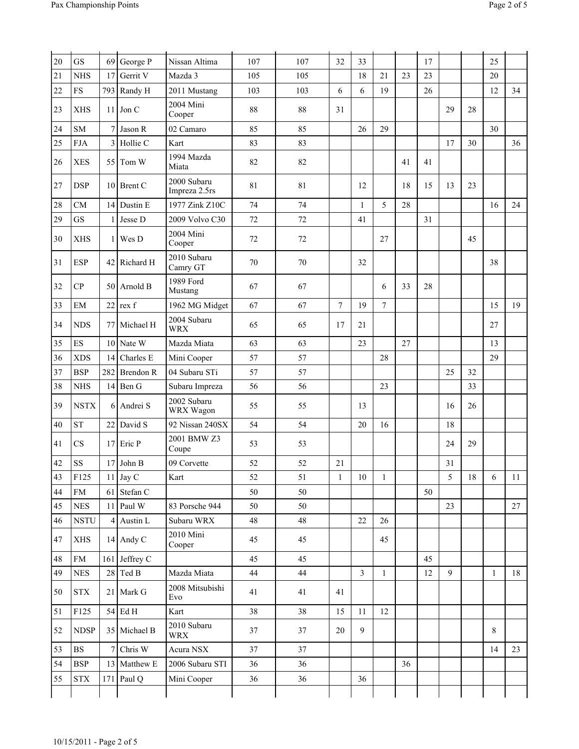| 20 | <b>GS</b>                | 69              | George P          | Nissan Altima                | 107 | 107    | 32             | 33             |              |    | 17 |    |    | 25           |    |
|----|--------------------------|-----------------|-------------------|------------------------------|-----|--------|----------------|----------------|--------------|----|----|----|----|--------------|----|
| 21 | <b>NHS</b>               | 17              | Gerrit V          | Mazda 3                      | 105 | 105    |                | 18             | 21           | 23 | 23 |    |    | 20           |    |
| 22 | FS                       | 793             | Randy H           | 2011 Mustang                 | 103 | 103    | 6              | 6              | 19           |    | 26 |    |    | 12           | 34 |
| 23 | <b>XHS</b>               | 11 <sup>1</sup> | Jon C             | 2004 Mini<br>Cooper          | 88  | 88     | 31             |                |              |    |    | 29 | 28 |              |    |
| 24 | <b>SM</b>                |                 | 7 Jason R         | 02 Camaro                    | 85  | 85     |                | 26             | 29           |    |    |    |    | 30           |    |
| 25 | <b>FJA</b>               | $\overline{3}$  | Hollie C          | Kart                         | 83  | 83     |                |                |              |    |    | 17 | 30 |              | 36 |
| 26 | <b>XES</b>               |                 | 55 Tom W          | 1994 Mazda<br>Miata          | 82  | 82     |                |                |              | 41 | 41 |    |    |              |    |
| 27 | <b>DSP</b>               |                 | 10 Brent C        | 2000 Subaru<br>Impreza 2.5rs | 81  | 81     |                | 12             |              | 18 | 15 | 13 | 23 |              |    |
| 28 | CM                       | 14              | Dustin E          | 1977 Zink Z10C               | 74  | 74     |                | $\mathbf{1}$   | 5            | 28 |    |    |    | 16           | 24 |
| 29 | <b>GS</b>                | 1 <sup>1</sup>  | Jesse D           | 2009 Volvo C30               | 72  | 72     |                | 41             |              |    | 31 |    |    |              |    |
| 30 | <b>XHS</b>               | 1 <sup>1</sup>  | Wes D             | 2004 Mini<br>Cooper          | 72  | 72     |                |                | 27           |    |    |    | 45 |              |    |
| 31 | <b>ESP</b>               | 42              | Richard H         | 2010 Subaru<br>Camry GT      | 70  | 70     |                | 32             |              |    |    |    |    | 38           |    |
| 32 | CP                       | 50 l            | Arnold B          | 1989 Ford<br>Mustang         | 67  | 67     |                |                | 6            | 33 | 28 |    |    |              |    |
| 33 | EM                       | 22              | rex f             | 1962 MG Midget               | 67  | 67     | $\overline{7}$ | 19             | $\tau$       |    |    |    |    | 15           | 19 |
| 34 | <b>NDS</b>               | 77              | Michael H         | 2004 Subaru<br><b>WRX</b>    | 65  | 65     | 17             | 21             |              |    |    |    |    | 27           |    |
| 35 | $\mathop{\hbox{\rm ES}}$ | 10              | Nate W            | Mazda Miata                  | 63  | 63     |                | 23             |              | 27 |    |    |    | 13           |    |
| 36 | <b>XDS</b>               | 14              | Charles E         | Mini Cooper                  | 57  | 57     |                |                | 28           |    |    |    |    | 29           |    |
| 37 | <b>BSP</b>               | 282             | <b>Brendon R</b>  | 04 Subaru STi                | 57  | 57     |                |                |              |    |    | 25 | 32 |              |    |
| 38 | <b>NHS</b>               | 14              | Ben G             | Subaru Impreza               | 56  | 56     |                |                | 23           |    |    |    | 33 |              |    |
| 39 | <b>NSTX</b>              |                 | 6 Andrei S        | 2002 Subaru<br>WRX Wagon     | 55  | 55     |                | 13             |              |    |    | 16 | 26 |              |    |
| 40 | <b>ST</b>                | 22              | David S           | 92 Nissan 240SX              | 54  | 54     |                | 20             | 16           |    |    | 18 |    |              |    |
| 41 | CS                       | 17              | Eric P            | 2001 BMW Z3<br>Coupe         | 53  | 53     |                |                |              |    |    | 24 | 29 |              |    |
| 42 | SS                       |                 | 17 John B         | 09 Corvette                  | 52  | 52     | 21             |                |              |    |    | 31 |    |              |    |
| 43 | F125                     |                 | 11 Jay C          | Kart                         | 52  | 51     | $\mathbf{1}$   | 10             | $\mathbf{1}$ |    |    | 5  | 18 | 6            | 11 |
| 44 | FM                       | 61              | Stefan C          |                              | 50  | 50     |                |                |              |    | 50 |    |    |              |    |
| 45 | ${\rm NES}$              | 11 <sup>1</sup> | Paul W            | 83 Porsche 944               | 50  | 50     |                |                |              |    |    | 23 |    |              | 27 |
| 46 | $\operatorname{NSTU}$    |                 | $4$ Austin L      | Subaru WRX                   | 48  | $48\,$ |                | 22             | 26           |    |    |    |    |              |    |
| 47 | <b>XHS</b>               |                 | 14 Andy C         | 2010 Mini<br>Cooper          | 45  | 45     |                |                | 45           |    |    |    |    |              |    |
| 48 | ${\rm FM}$               |                 | 161 Jeffrey C     |                              | 45  | 45     |                |                |              |    | 45 |    |    |              |    |
| 49 | ${\rm NES}$              |                 | 28 $\text{red }B$ | Mazda Miata                  | 44  | $44\,$ |                | $\overline{3}$ | $\mathbf{1}$ |    | 12 | 9  |    | $\mathbf{1}$ | 18 |
| 50 | $\operatorname{STX}$     | 21              | Mark G            | 2008 Mitsubishi<br>Evo       | 41  | 41     | 41             |                |              |    |    |    |    |              |    |
| 51 | F125                     |                 | 54 Ed H           | Kart                         | 38  | $38\,$ | 15             | 11             | 12           |    |    |    |    |              |    |
| 52 | <b>NDSP</b>              | 35              | Michael B         | 2010 Subaru<br><b>WRX</b>    | 37  | 37     | 20             | 9              |              |    |    |    |    | 8            |    |
| 53 | <b>BS</b>                | 7 <sup>1</sup>  | Chris W           | Acura NSX                    | 37  | 37     |                |                |              |    |    |    |    | 14           | 23 |
| 54 | <b>BSP</b>               | 13              | Matthew E         | 2006 Subaru STI              | 36  | 36     |                |                |              | 36 |    |    |    |              |    |
| 55 | $\operatorname{STX}$     | 171             | Paul Q            | Mini Cooper                  | 36  | 36     |                | 36             |              |    |    |    |    |              |    |
|    |                          |                 |                   |                              |     |        |                |                |              |    |    |    |    |              |    |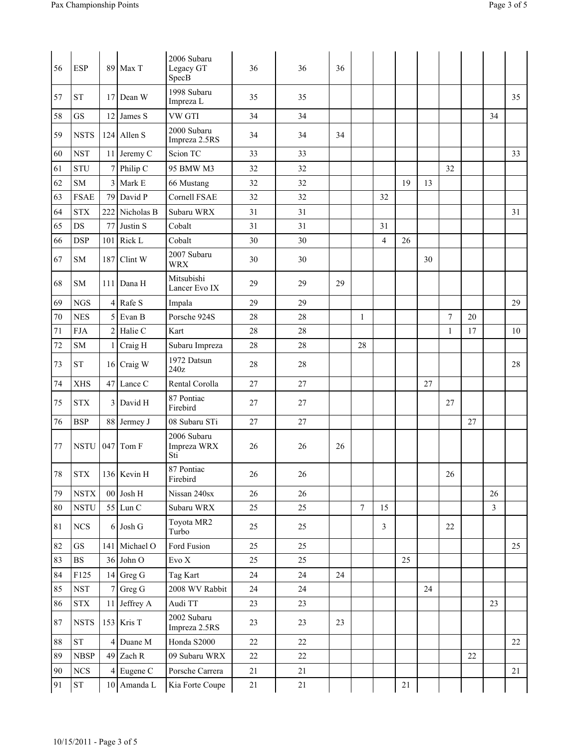| 56 | <b>ESP</b>                    |                 | 89 Max T     | 2006 Subaru<br>Legacy GT<br>SpecB | 36 | 36     | 36 |                |                |    |    |                |    |                |    |
|----|-------------------------------|-----------------|--------------|-----------------------------------|----|--------|----|----------------|----------------|----|----|----------------|----|----------------|----|
| 57 | <b>ST</b>                     | 17              | Dean W       | 1998 Subaru<br>Impreza L          | 35 | 35     |    |                |                |    |    |                |    |                | 35 |
| 58 | GS                            | 12              | James S      | VW GTI                            | 34 | 34     |    |                |                |    |    |                |    | 34             |    |
| 59 | <b>NSTS</b>                   |                 | 124 Allen S  | 2000 Subaru<br>Impreza 2.5RS      | 34 | 34     | 34 |                |                |    |    |                |    |                |    |
| 60 | <b>NST</b>                    |                 | 11 Jeremy C  | Scion TC                          | 33 | 33     |    |                |                |    |    |                |    |                | 33 |
| 61 | <b>STU</b>                    | 7 <sup>1</sup>  | Philip C     | 95 BMW M3                         | 32 | 32     |    |                |                |    |    | 32             |    |                |    |
| 62 | ${\bf SM}$                    | $\overline{3}$  | Mark E       | 66 Mustang                        | 32 | 32     |    |                |                | 19 | 13 |                |    |                |    |
| 63 | <b>FSAE</b>                   | 79              | David P      | Cornell FSAE                      | 32 | 32     |    |                | 32             |    |    |                |    |                |    |
| 64 | $\operatorname{STX}$          | 222             | Nicholas B   | Subaru WRX                        | 31 | 31     |    |                |                |    |    |                |    |                | 31 |
| 65 | DS                            | 77              | Justin S     | Cobalt                            | 31 | 31     |    |                | 31             |    |    |                |    |                |    |
| 66 | <b>DSP</b>                    | 101             | Rick L       | Cobalt                            | 30 | 30     |    |                | $\overline{4}$ | 26 |    |                |    |                |    |
| 67 | SM                            | 187             | Clint W      | 2007 Subaru<br><b>WRX</b>         | 30 | 30     |    |                |                |    | 30 |                |    |                |    |
| 68 | SM                            |                 | $111$ Dana H | Mitsubishi<br>Lancer Evo IX       | 29 | 29     | 29 |                |                |    |    |                |    |                |    |
| 69 | <b>NGS</b>                    |                 | $4$ Rafe S   | Impala                            | 29 | 29     |    |                |                |    |    |                |    |                | 29 |
| 70 | <b>NES</b>                    | 5               | Evan B       | Porsche 924S                      | 28 | 28     |    | $\mathbf{1}$   |                |    |    | $\overline{7}$ | 20 |                |    |
| 71 | <b>FJA</b>                    | $\overline{2}$  | Halie C      | Kart                              | 28 | 28     |    |                |                |    |    | 1              | 17 |                | 10 |
| 72 | ${\bf SM}$                    | 1               | Craig H      | Subaru Impreza                    | 28 | 28     |    | 28             |                |    |    |                |    |                |    |
| 73 | <b>ST</b>                     |                 | 16 Craig W   | 1972 Datsun<br>240z               | 28 | 28     |    |                |                |    |    |                |    |                | 28 |
| 74 | <b>XHS</b>                    |                 | $47$ Lance C | Rental Corolla                    | 27 | 27     |    |                |                |    | 27 |                |    |                |    |
| 75 | <b>STX</b>                    |                 | 3 David H    | 87 Pontiac<br>Firebird            | 27 | 27     |    |                |                |    |    | 27             |    |                |    |
| 76 | <b>BSP</b>                    |                 | 88 Jermey J  | 08 Subaru STi                     | 27 | 27     |    |                |                |    |    |                | 27 |                |    |
| 77 | <b>NSTU</b>                   |                 | $047$ Tom F  | 2006 Subaru<br>Impreza WRX<br>Sti | 26 | 26     | 26 |                |                |    |    |                |    |                |    |
| 78 | <b>STX</b>                    |                 | 136 Kevin H  | 87 Pontiac<br>Firebird            | 26 | 26     |    |                |                |    |    | 26             |    |                |    |
| 79 | $\operatorname{NSTX}$         |                 | $00$ Josh H  | Nissan 240sx                      | 26 | 26     |    |                |                |    |    |                |    | 26             |    |
| 80 | <b>NSTU</b>                   |                 | 55 Lun C     | Subaru WRX                        | 25 | 25     |    | $\overline{7}$ | 15             |    |    |                |    | $\mathfrak{Z}$ |    |
| 81 | ${\rm NCS}$                   |                 | $6$ Josh G   | Toyota MR2<br>Turbo               | 25 | 25     |    |                | 3              |    |    | 22             |    |                |    |
| 82 | $\operatorname{GS}$           | 141             | Michael O    | Ford Fusion                       | 25 | 25     |    |                |                |    |    |                |    |                | 25 |
| 83 | $_{\rm BS}$                   |                 | 36 John O    | Evo X                             | 25 | 25     |    |                |                | 25 |    |                |    |                |    |
| 84 | F125                          |                 | $14$ Greg G  | Tag Kart                          | 24 | 24     | 24 |                |                |    |    |                |    |                |    |
| 85 | $\operatorname{\mathsf{NST}}$ | $7\phantom{.0}$ | Greg G       | 2008 WV Rabbit                    | 24 | 24     |    |                |                |    | 24 |                |    |                |    |
| 86 | $\operatorname{STX}$          |                 | 11 Jeffrey A | Audi TT                           | 23 | 23     |    |                |                |    |    |                |    | 23             |    |
| 87 | <b>NSTS</b>                   |                 | 153 Kris T   | 2002 Subaru<br>Impreza 2.5RS      | 23 | 23     | 23 |                |                |    |    |                |    |                |    |
| 88 | <b>ST</b>                     |                 | 4 Duane M    | Honda S2000                       | 22 | 22     |    |                |                |    |    |                |    |                | 22 |
| 89 | <b>NBSP</b>                   |                 | $49$ Zach R  | 09 Subaru WRX                     | 22 | $22\,$ |    |                |                |    |    |                | 22 |                |    |
| 90 | ${\rm NCS}$                   |                 | $4$ Eugene C | Porsche Carrera                   | 21 | $21\,$ |    |                |                |    |    |                |    |                | 21 |
| 91 | ${\rm ST}$                    |                 | 10 Amanda L  | Kia Forte Coupe                   | 21 | 21     |    |                |                | 21 |    |                |    |                |    |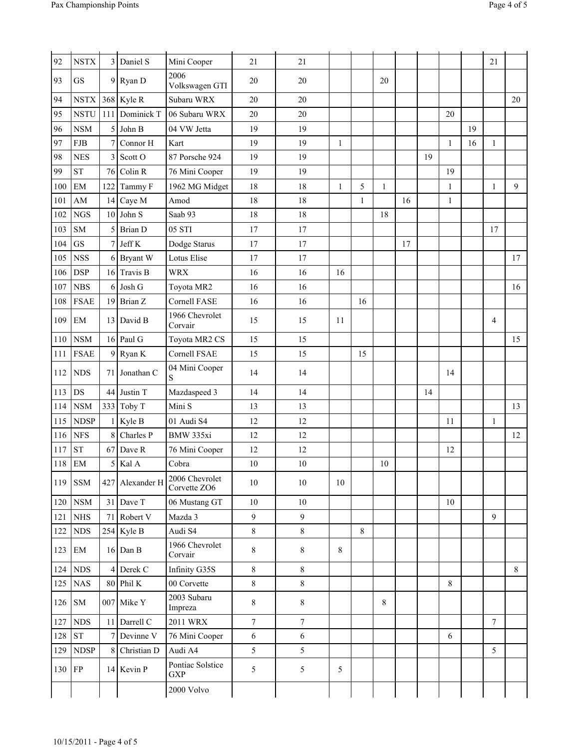| 92       | <b>NSTX</b>                |                | 3 Daniel S  | Mini Cooper                    | 21        | 21             |    |    |    |    |    |    |    | 21           |    |
|----------|----------------------------|----------------|-------------|--------------------------------|-----------|----------------|----|----|----|----|----|----|----|--------------|----|
| 93       | GS                         |                | 9 Ryan D    | 2006<br>Volkswagen GTI         | 20        | 20             |    |    | 20 |    |    |    |    |              |    |
| 94       | <b>NSTX</b>                |                | 368 Kyle R  | Subaru WRX                     | 20        | 20             |    |    |    |    |    |    |    |              | 20 |
| 95       | <b>NSTU</b>                | 111            | Dominick T  | 06 Subaru WRX                  | 20        | 20             |    |    |    |    |    | 20 |    |              |    |
| 96       | <b>NSM</b>                 | 5              | John B      | 04 VW Jetta                    | 19        | 19             |    |    |    |    |    |    | 19 |              |    |
| 97       | <b>FJB</b>                 |                | Connor H    | Kart                           | 19        | 19             | 1  |    |    |    |    | 1  | 16 | $\mathbf{1}$ |    |
| 98       | <b>NES</b>                 | $\mathfrak{Z}$ | Scott O     | 87 Porsche 924                 | 19        | 19             |    |    |    |    | 19 |    |    |              |    |
| 99       | ${\rm ST}$                 | 76             | Colin R     | 76 Mini Cooper                 | 19        | 19             |    |    |    |    |    | 19 |    |              |    |
| 100      | EM                         | 122            | Tammy F     | 1962 MG Midget                 | 18        | 18             | 1  | 5  | 1  |    |    | 1  |    | 1            | 9  |
| 101      | $\mathbf{A}\mathbf{M}$     | 14             | Caye M      | Amod                           | 18        | 18             |    | 1  |    | 16 |    | 1  |    |              |    |
| 102      | NGS                        | 10             | John S      | Saab 93                        | 18        | 18             |    |    | 18 |    |    |    |    |              |    |
| 103      | ${\rm SM}$                 | 5              | Brian D     | 05 STI                         | 17        | 17             |    |    |    |    |    |    |    | 17           |    |
| 104      | GS                         | $\tau$         | Jeff K      | Dodge Starus                   | 17        | 17             |    |    |    | 17 |    |    |    |              |    |
| 105      | <b>NSS</b>                 | 6              | Bryant W    | Lotus Elise                    | 17        | 17             |    |    |    |    |    |    |    |              | 17 |
| 106      | <b>DSP</b>                 |                | 16 Travis B | <b>WRX</b>                     | 16        | 16             | 16 |    |    |    |    |    |    |              |    |
| 107      | NBS                        | 6              | Josh G      | Toyota MR2                     | 16        | 16             |    |    |    |    |    |    |    |              | 16 |
| 108      | <b>FSAE</b>                | 19             | Brian Z     | <b>Cornell FASE</b>            | 16        | 16             |    | 16 |    |    |    |    |    |              |    |
| 109      | $\boldsymbol{\mathrm{EM}}$ | 13             | David B     | 1966 Chevrolet<br>Corvair      | 15        | 15             | 11 |    |    |    |    |    |    | 4            |    |
| 110      | <b>NSM</b>                 |                | 16 Paul G   | Toyota MR2 CS                  | 15        | 15             |    |    |    |    |    |    |    |              | 15 |
| 111      | <b>FSAE</b>                | 9              | Ryan K      | Cornell FSAE                   | 15        | 15             |    | 15 |    |    |    |    |    |              |    |
| 112      | <b>NDS</b>                 | 71             | Jonathan C  | 04 Mini Cooper<br>S            | 14        | 14             |    |    |    |    |    | 14 |    |              |    |
| 113      | DS                         | 44             | Justin T    | Mazdaspeed 3                   | 14        | 14             |    |    |    |    | 14 |    |    |              |    |
| 114      | <b>NSM</b>                 | 333            | Toby T      | Mini S                         | 13        | 13             |    |    |    |    |    |    |    |              | 13 |
| 115      | <b>NDSP</b>                |                | Kyle B      | 01 Audi S4                     | 12        | 12             |    |    |    |    |    | 11 |    | 1            |    |
| 116      | <b>NFS</b>                 | 8              | Charles P   | BMW 335xi                      | 12        | 12             |    |    |    |    |    |    |    |              | 12 |
| $117$ ST |                            |                | 67 Dave R   | 76 Mini Cooper                 | 12        | 12             |    |    |    |    |    | 12 |    |              |    |
| 118      | EM                         | 5              | Kal A       | Cobra                          | 10        | 10             |    |    | 10 |    |    |    |    |              |    |
| 119      | <b>SSM</b>                 | 427            | Alexander H | 2006 Chevrolet<br>Corvette ZO6 | 10        | 10             | 10 |    |    |    |    |    |    |              |    |
| 120      | <b>NSM</b>                 | 31             | Dave T      | 06 Mustang GT                  | 10        | 10             |    |    |    |    |    | 10 |    |              |    |
| 121      | <b>NHS</b>                 | 71             | Robert V    | Mazda 3                        | 9         | 9              |    |    |    |    |    |    |    | 9            |    |
| 122      | <b>NDS</b>                 | 254            | Kyle B      | Audi S4                        | 8         | 8              |    | 8  |    |    |    |    |    |              |    |
| 123      | EM                         |                | $16$ Dan B  | 1966 Chevrolet<br>Corvair      | 8         | 8              | 8  |    |    |    |    |    |    |              |    |
| 124      | <b>NDS</b>                 | 4              | Derek C     | Infinity G35S                  | 8         | 8              |    |    |    |    |    |    |    |              | 8  |
| 125      | <b>NAS</b>                 | 80             | Phil K      | 00 Corvette                    | $\,$ $\,$ | $\,$ 8 $\,$    |    |    |    |    |    | 8  |    |              |    |
| 126      | <b>SM</b>                  | 007            | Mike Y      | 2003 Subaru<br>Impreza         | 8         | 8              |    |    | 8  |    |    |    |    |              |    |
| 127      | <b>NDS</b>                 | 11             | Darrell C   | 2011 WRX                       | $\tau$    | 7              |    |    |    |    |    |    |    | 7            |    |
| 128      | ${\cal S}{\cal T}$         | 7              | Devinne V   | 76 Mini Cooper                 | 6         | 6              |    |    |    |    |    | 6  |    |              |    |
| 129      | <b>NDSP</b>                | 8              | Christian D | Audi A4                        | 5         | 5              |    |    |    |    |    |    |    | 5            |    |
| 130 FP   |                            |                | 14 Kevin P  | Pontiac Solstice<br>GXP        | 5         | $\mathfrak{S}$ | 5  |    |    |    |    |    |    |              |    |

2000 Volvo